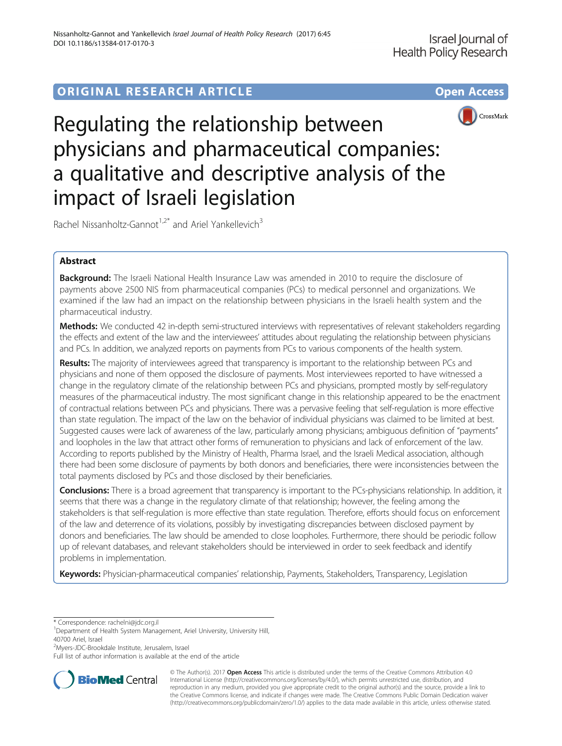# ORIGINAL RESEARCH ARTICLE **External and Contact Access** open Access



Regulating the relationship between physicians and pharmaceutical companies: a qualitative and descriptive analysis of the impact of Israeli legislation

Rachel Nissanholtz-Gannot<sup>1,2\*</sup> and Ariel Yankellevich<sup>3</sup>

# Abstract

Background: The Israeli National Health Insurance Law was amended in 2010 to require the disclosure of payments above 2500 NIS from pharmaceutical companies (PCs) to medical personnel and organizations. We examined if the law had an impact on the relationship between physicians in the Israeli health system and the pharmaceutical industry.

Methods: We conducted 42 in-depth semi-structured interviews with representatives of relevant stakeholders regarding the effects and extent of the law and the interviewees' attitudes about regulating the relationship between physicians and PCs. In addition, we analyzed reports on payments from PCs to various components of the health system.

Results: The majority of interviewees agreed that transparency is important to the relationship between PCs and physicians and none of them opposed the disclosure of payments. Most interviewees reported to have witnessed a change in the regulatory climate of the relationship between PCs and physicians, prompted mostly by self-regulatory measures of the pharmaceutical industry. The most significant change in this relationship appeared to be the enactment of contractual relations between PCs and physicians. There was a pervasive feeling that self-regulation is more effective than state regulation. The impact of the law on the behavior of individual physicians was claimed to be limited at best. Suggested causes were lack of awareness of the law, particularly among physicians; ambiguous definition of "payments" and loopholes in the law that attract other forms of remuneration to physicians and lack of enforcement of the law. According to reports published by the Ministry of Health, Pharma Israel, and the Israeli Medical association, although there had been some disclosure of payments by both donors and beneficiaries, there were inconsistencies between the total payments disclosed by PCs and those disclosed by their beneficiaries.

Conclusions: There is a broad agreement that transparency is important to the PCs-physicians relationship. In addition, it seems that there was a change in the regulatory climate of that relationship; however, the feeling among the stakeholders is that self-regulation is more effective than state regulation. Therefore, efforts should focus on enforcement of the law and deterrence of its violations, possibly by investigating discrepancies between disclosed payment by donors and beneficiaries. The law should be amended to close loopholes. Furthermore, there should be periodic follow up of relevant databases, and relevant stakeholders should be interviewed in order to seek feedback and identify problems in implementation.

Keywords: Physician-pharmaceutical companies' relationship, Payments, Stakeholders, Transparency, Legislation

\* Correspondence: [rachelni@jdc.org.il](mailto:rachelni@jdc.org.il) <sup>1</sup>

<sup>2</sup>Myers-JDC-Brookdale Institute, Jerusalem, Israel

Full list of author information is available at the end of the article



© The Author(s). 2017 **Open Access** This article is distributed under the terms of the Creative Commons Attribution 4.0 International License [\(http://creativecommons.org/licenses/by/4.0/](http://creativecommons.org/licenses/by/4.0/)), which permits unrestricted use, distribution, and reproduction in any medium, provided you give appropriate credit to the original author(s) and the source, provide a link to the Creative Commons license, and indicate if changes were made. The Creative Commons Public Domain Dedication waiver [\(http://creativecommons.org/publicdomain/zero/1.0/](http://creativecommons.org/publicdomain/zero/1.0/)) applies to the data made available in this article, unless otherwise stated.

<sup>&</sup>lt;sup>1</sup>Department of Health System Management, Ariel University, University Hill, 40700 Ariel, Israel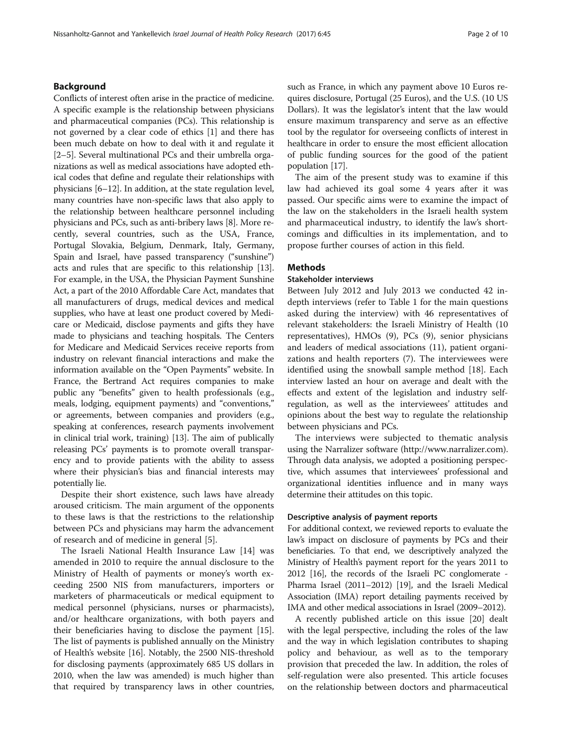# Background

Conflicts of interest often arise in the practice of medicine. A specific example is the relationship between physicians and pharmaceutical companies (PCs). This relationship is not governed by a clear code of ethics [[1](#page-9-0)] and there has been much debate on how to deal with it and regulate it [[2](#page-9-0)–[5](#page-9-0)]. Several multinational PCs and their umbrella organizations as well as medical associations have adopted ethical codes that define and regulate their relationships with physicians [\[6](#page-9-0)–[12\]](#page-9-0). In addition, at the state regulation level, many countries have non-specific laws that also apply to the relationship between healthcare personnel including physicians and PCs, such as anti-bribery laws [\[8\]](#page-9-0). More recently, several countries, such as the USA, France, Portugal Slovakia, Belgium, Denmark, Italy, Germany, Spain and Israel, have passed transparency ("sunshine") acts and rules that are specific to this relationship [[13](#page-9-0)]. For example, in the USA, the Physician Payment Sunshine Act, a part of the 2010 Affordable Care Act, mandates that all manufacturers of drugs, medical devices and medical supplies, who have at least one product covered by Medicare or Medicaid, disclose payments and gifts they have made to physicians and teaching hospitals. The Centers for Medicare and Medicaid Services receive reports from industry on relevant financial interactions and make the information available on the "Open Payments" website. In France, the Bertrand Act requires companies to make public any "benefits" given to health professionals (e.g., meals, lodging, equipment payments) and "conventions," or agreements, between companies and providers (e.g., speaking at conferences, research payments involvement in clinical trial work, training) [\[13](#page-9-0)]. The aim of publically releasing PCs' payments is to promote overall transparency and to provide patients with the ability to assess where their physician's bias and financial interests may potentially lie.

Despite their short existence, such laws have already aroused criticism. The main argument of the opponents to these laws is that the restrictions to the relationship between PCs and physicians may harm the advancement of research and of medicine in general [\[5](#page-9-0)].

The Israeli National Health Insurance Law [[14](#page-9-0)] was amended in 2010 to require the annual disclosure to the Ministry of Health of payments or money's worth exceeding 2500 NIS from manufacturers, importers or marketers of pharmaceuticals or medical equipment to medical personnel (physicians, nurses or pharmacists), and/or healthcare organizations, with both payers and their beneficiaries having to disclose the payment [\[15](#page-9-0)]. The list of payments is published annually on the Ministry of Health's website [\[16\]](#page-9-0). Notably, the 2500 NIS-threshold for disclosing payments (approximately 685 US dollars in 2010, when the law was amended) is much higher than that required by transparency laws in other countries, such as France, in which any payment above 10 Euros requires disclosure, Portugal (25 Euros), and the U.S. (10 US Dollars). It was the legislator's intent that the law would ensure maximum transparency and serve as an effective tool by the regulator for overseeing conflicts of interest in healthcare in order to ensure the most efficient allocation of public funding sources for the good of the patient population [[17](#page-9-0)].

The aim of the present study was to examine if this law had achieved its goal some 4 years after it was passed. Our specific aims were to examine the impact of the law on the stakeholders in the Israeli health system and pharmaceutical industry, to identify the law's shortcomings and difficulties in its implementation, and to propose further courses of action in this field.

# **Methods**

# Stakeholder interviews

Between July 2012 and July 2013 we conducted 42 indepth interviews (refer to Table [1](#page-2-0) for the main questions asked during the interview) with 46 representatives of relevant stakeholders: the Israeli Ministry of Health (10 representatives), HMOs (9), PCs (9), senior physicians and leaders of medical associations (11), patient organizations and health reporters (7). The interviewees were identified using the snowball sample method [[18\]](#page-9-0). Each interview lasted an hour on average and dealt with the effects and extent of the legislation and industry selfregulation, as well as the interviewees' attitudes and opinions about the best way to regulate the relationship between physicians and PCs.

The interviews were subjected to thematic analysis using the Narralizer software (<http://www.narralizer.com>). Through data analysis, we adopted a positioning perspective, which assumes that interviewees' professional and organizational identities influence and in many ways determine their attitudes on this topic.

### Descriptive analysis of payment reports

For additional context, we reviewed reports to evaluate the law's impact on disclosure of payments by PCs and their beneficiaries. To that end, we descriptively analyzed the Ministry of Health's payment report for the years 2011 to 2012 [\[16\]](#page-9-0), the records of the Israeli PC conglomerate - Pharma Israel (2011–2012) [\[19\]](#page-9-0), and the Israeli Medical Association (IMA) report detailing payments received by IMA and other medical associations in Israel (2009–2012).

A recently published article on this issue [[20\]](#page-9-0) dealt with the legal perspective, including the roles of the law and the way in which legislation contributes to shaping policy and behaviour, as well as to the temporary provision that preceded the law. In addition, the roles of self-regulation were also presented. This article focuses on the relationship between doctors and pharmaceutical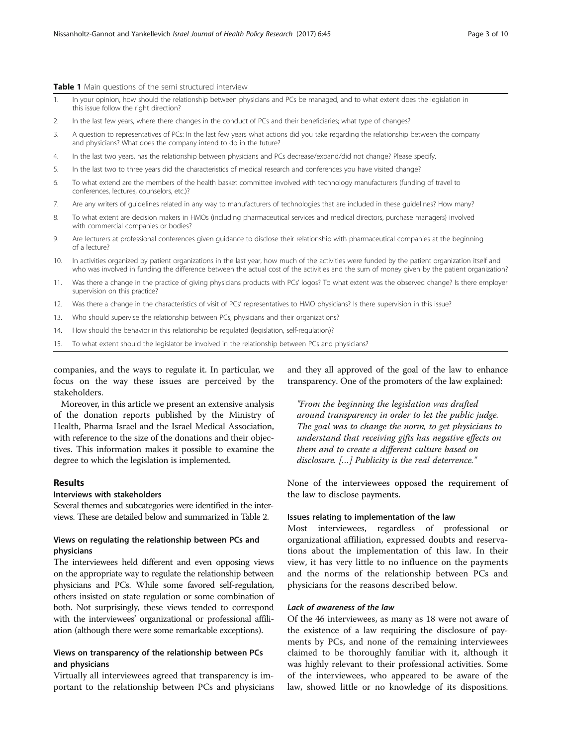#### <span id="page-2-0"></span>Table 1 Main questions of the semi structured interview

- 1. In your opinion, how should the relationship between physicians and PCs be managed, and to what extent does the legislation in this issue follow the right direction?
- 2. In the last few years, where there changes in the conduct of PCs and their beneficiaries; what type of changes?
- 3. A question to representatives of PCs: In the last few years what actions did you take regarding the relationship between the company and physicians? What does the company intend to do in the future?
- 4. In the last two years, has the relationship between physicians and PCs decrease/expand/did not change? Please specify.
- 5. In the last two to three years did the characteristics of medical research and conferences you have visited change?
- 6. To what extend are the members of the health basket committee involved with technology manufacturers (funding of travel to conferences, lectures, counselors, etc.)?
- 7. Are any writers of guidelines related in any way to manufacturers of technologies that are included in these guidelines? How many?
- 8. To what extent are decision makers in HMOs (including pharmaceutical services and medical directors, purchase managers) involved with commercial companies or bodies?
- 9. Are lecturers at professional conferences given guidance to disclose their relationship with pharmaceutical companies at the beginning of a lecture?
- 10. In activities organized by patient organizations in the last year, how much of the activities were funded by the patient organization itself and who was involved in funding the difference between the actual cost of the activities and the sum of money given by the patient organization?
- 11. Was there a change in the practice of giving physicians products with PCs' logos? To what extent was the observed change? Is there employer supervision on this practice?
- 12. Was there a change in the characteristics of visit of PCs' representatives to HMO physicians? Is there supervision in this issue?
- 13. Who should supervise the relationship between PCs, physicians and their organizations?
- 14. How should the behavior in this relationship be regulated (legislation, self-regulation)?
- 15. To what extent should the legislator be involved in the relationship between PCs and physicians?

companies, and the ways to regulate it. In particular, we focus on the way these issues are perceived by the stakeholders.

Moreover, in this article we present an extensive analysis of the donation reports published by the Ministry of Health, Pharma Israel and the Israel Medical Association, with reference to the size of the donations and their objectives. This information makes it possible to examine the degree to which the legislation is implemented.

# Results

#### Interviews with stakeholders

Several themes and subcategories were identified in the interviews. These are detailed below and summarized in Table [2](#page-3-0).

# Views on regulating the relationship between PCs and physicians

The interviewees held different and even opposing views on the appropriate way to regulate the relationship between physicians and PCs. While some favored self-regulation, others insisted on state regulation or some combination of both. Not surprisingly, these views tended to correspond with the interviewees' organizational or professional affiliation (although there were some remarkable exceptions).

# Views on transparency of the relationship between PCs and physicians

Virtually all interviewees agreed that transparency is important to the relationship between PCs and physicians and they all approved of the goal of the law to enhance transparency. One of the promoters of the law explained:

"From the beginning the legislation was drafted around transparency in order to let the public judge. The goal was to change the norm, to get physicians to understand that receiving gifts has negative effects on them and to create a different culture based on disclosure. […] Publicity is the real deterrence."

None of the interviewees opposed the requirement of the law to disclose payments.

## Issues relating to implementation of the law

Most interviewees, regardless of professional or organizational affiliation, expressed doubts and reservations about the implementation of this law. In their view, it has very little to no influence on the payments and the norms of the relationship between PCs and physicians for the reasons described below.

# Lack of awareness of the law

Of the 46 interviewees, as many as 18 were not aware of the existence of a law requiring the disclosure of payments by PCs, and none of the remaining interviewees claimed to be thoroughly familiar with it, although it was highly relevant to their professional activities. Some of the interviewees, who appeared to be aware of the law, showed little or no knowledge of its dispositions.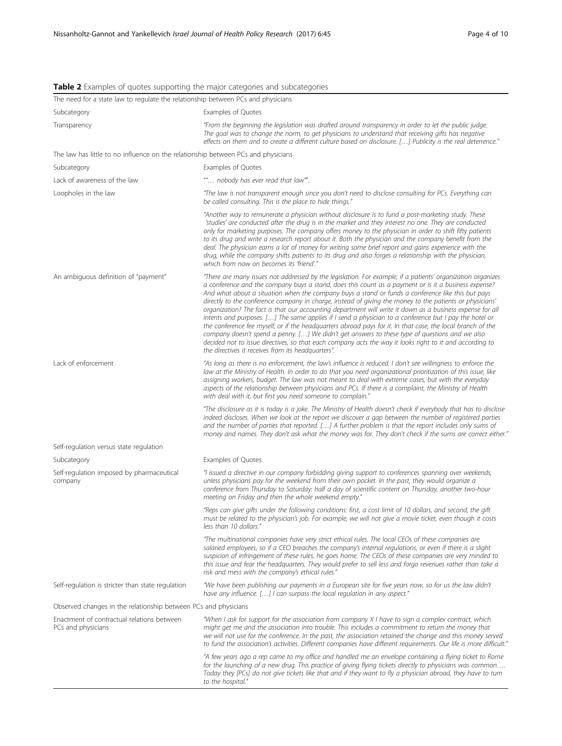| <b>TWOLE</b> Examples or quotes supporting the major categories and subcategories |                                                                                                                                                                                                                                                                                                                                                                                                                                                                                                                                                                                                                                                                                                                                                                                                                                                                                                                                                                                                                                                |
|-----------------------------------------------------------------------------------|------------------------------------------------------------------------------------------------------------------------------------------------------------------------------------------------------------------------------------------------------------------------------------------------------------------------------------------------------------------------------------------------------------------------------------------------------------------------------------------------------------------------------------------------------------------------------------------------------------------------------------------------------------------------------------------------------------------------------------------------------------------------------------------------------------------------------------------------------------------------------------------------------------------------------------------------------------------------------------------------------------------------------------------------|
| The need for a state law to regulate the relationship between PCs and physicians  |                                                                                                                                                                                                                                                                                                                                                                                                                                                                                                                                                                                                                                                                                                                                                                                                                                                                                                                                                                                                                                                |
| Subcategory                                                                       | Examples of Quotes                                                                                                                                                                                                                                                                                                                                                                                                                                                                                                                                                                                                                                                                                                                                                                                                                                                                                                                                                                                                                             |
| Transparency                                                                      | "From the beginning the legislation was drafted around transparency in order to let the public judge.<br>The goal was to change the norm, to get physicians to understand that receiving gifts has negative<br>effects on them and to create a different culture based on disclosure. [] Publicity is the real deterrence."                                                                                                                                                                                                                                                                                                                                                                                                                                                                                                                                                                                                                                                                                                                    |
| The law has little to no influence on the relationship between PCs and physicians |                                                                                                                                                                                                                                                                                                                                                                                                                                                                                                                                                                                                                                                                                                                                                                                                                                                                                                                                                                                                                                                |
| Subcategory                                                                       | Examples of Quotes                                                                                                                                                                                                                                                                                                                                                                                                                                                                                                                                                                                                                                                                                                                                                                                                                                                                                                                                                                                                                             |
| Lack of awareness of the law                                                      | "" nobody has ever read that law"".                                                                                                                                                                                                                                                                                                                                                                                                                                                                                                                                                                                                                                                                                                                                                                                                                                                                                                                                                                                                            |
| Loopholes in the law                                                              | "The law is not transparent enough since you don't need to disclose consulting for PCs. Everything can<br>be called consulting. This is the place to hide things."                                                                                                                                                                                                                                                                                                                                                                                                                                                                                                                                                                                                                                                                                                                                                                                                                                                                             |
|                                                                                   | "Another way to remunerate a physician without disclosure is to fund a post-marketing study. These<br>'studies' are conducted after the drug is in the market and they interest no one. They are conducted<br>only for marketing purposes. The company offers money to the physician in order to shift fifty patients<br>to its drug and write a research report about it. Both the physician and the company benefit from the<br>deal. The physician earns a lot of money for writing some brief report and gains experience with the<br>drug, while the company shifts patients to its drug and also forges a relationship with the physician,<br>which from now on becomes its 'friend'."                                                                                                                                                                                                                                                                                                                                                   |
| An ambiguous definition of "payment"                                              | "There are many issues not addressed by the legislation. For example, if a patients' organization organizes<br>a conference and the company buys a stand, does this count as a payment or is it a business expense?<br>And what about a situation when the company buys a stand or funds a conference like this but pays<br>directly to the conference company in charge, instead of giving the money to the patients or physicians'<br>organization? The fact is that our accounting department will write it down as a business expense for all<br>intents and purposes. [] The same applies if I send a physician to a conference but I pay the hotel or<br>the conference fee myself, or if the headquarters abroad pays for it. In that case, the local branch of the<br>company doesn't spend a penny. [] We didn't get answers to these type of questions and we also<br>decided not to issue directives, so that each company acts the way it looks right to it and according to<br>the directives it receives from its headquarters". |
| Lack of enforcement                                                               | "As long as there is no enforcement, the law's influence is reduced. I don't see willingness to enforce the<br>law at the Ministry of Health. In order to do that you need organizational prioritization of this issue, like<br>assigning workers, budget. The law was not meant to deal with extreme cases, but with the everyday<br>aspects of the relationship between physicians and PCs. If there is a complaint, the Ministry of Health<br>with deal with it, but first you need someone to complain."                                                                                                                                                                                                                                                                                                                                                                                                                                                                                                                                   |
|                                                                                   | "The disclosure as it is today is a joke. The Ministry of Health doesn't check if everybody that has to disclose<br>indeed discloses. When we look at the report we discover a gap between the number of registered parties<br>and the number of parties that reported. [] A further problem is that the report includes only sums of<br>money and names. They don't ask what the money was for. They don't check if the sums are correct either."                                                                                                                                                                                                                                                                                                                                                                                                                                                                                                                                                                                             |
| Self-regulation versus state regulation                                           |                                                                                                                                                                                                                                                                                                                                                                                                                                                                                                                                                                                                                                                                                                                                                                                                                                                                                                                                                                                                                                                |
| Subcategory                                                                       | <b>Examples of Quotes</b>                                                                                                                                                                                                                                                                                                                                                                                                                                                                                                                                                                                                                                                                                                                                                                                                                                                                                                                                                                                                                      |
| Self-regulation imposed by pharmaceutical<br>company                              | "I issued a directive in our company forbidding giving support to conferences spanning over weekends,<br>unless physicians pay for the weekend from their own pocket. In the past, they would organize a<br>conference from Thursday to Saturday: half a day of scientific content on Thursday, another two-hour<br>meeting on Friday and then the whole weekend empty."                                                                                                                                                                                                                                                                                                                                                                                                                                                                                                                                                                                                                                                                       |
|                                                                                   | "Reps can give gifts under the following conditions: first, a cost limit of 10 dollars, and second, the gift<br>must be related to the physician's job. For example, we will not give a movie ticket, even though it costs<br>less than 10 dollars."                                                                                                                                                                                                                                                                                                                                                                                                                                                                                                                                                                                                                                                                                                                                                                                           |
|                                                                                   | "The multinational companies have very strict ethical rules. The local CEOs of these companies are<br>salaried employees, so if a CEO breaches the company's internal regulations, or even if there is a slight<br>suspicion of infringement of these rules, he goes home. The CEOs of these companies are very minded to<br>this issue and fear the headquarters. They would prefer to sell less and forgo revenues rather than take a<br>risk and mess with the company's ethical rules."                                                                                                                                                                                                                                                                                                                                                                                                                                                                                                                                                    |
| Self-regulation is stricter than state regulation                                 | "We have been publishing our payments in a European site for five years now, so for us the law didn't<br>have any influence. [] I can surpass the local regulation in any aspect."                                                                                                                                                                                                                                                                                                                                                                                                                                                                                                                                                                                                                                                                                                                                                                                                                                                             |
| Observed changes in the relationship between PCs and physicians                   |                                                                                                                                                                                                                                                                                                                                                                                                                                                                                                                                                                                                                                                                                                                                                                                                                                                                                                                                                                                                                                                |
| Enactment of contractual relations between<br>PCs and physicians                  | "When I ask for support for the association from company X I have to sign a complex contract, which<br>might get me and the association into trouble. This includes a commitment to return the money that<br>we will not use for the conference. In the past, the association retained the change and this money served<br>to fund the association's activities. Different companies have different requirements. Our life is more difficult."                                                                                                                                                                                                                                                                                                                                                                                                                                                                                                                                                                                                 |
|                                                                                   | "A few years ago a rep came to my office and handled me an envelope containing a flying ticket to Rome<br>for the launching of a new drug. This practice of giving flying tickets directly to physicians was common<br>Today they [PCs] do not give tickets like that and if they want to fly a physician abroad, they have to turn<br>to the hospital."                                                                                                                                                                                                                                                                                                                                                                                                                                                                                                                                                                                                                                                                                       |

### <span id="page-3-0"></span>Table 2 Examples of quotes supporting the major categories and subcategories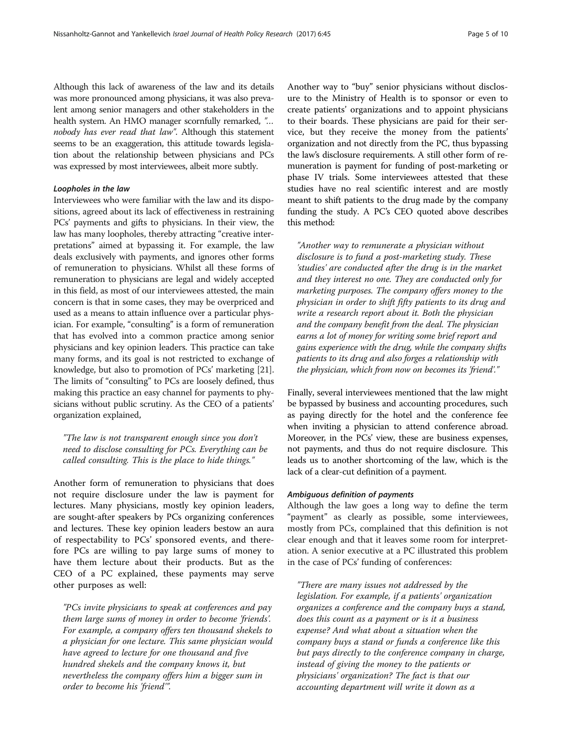Although this lack of awareness of the law and its details was more pronounced among physicians, it was also prevalent among senior managers and other stakeholders in the health system. An HMO manager scornfully remarked, "… nobody has ever read that law". Although this statement seems to be an exaggeration, this attitude towards legislation about the relationship between physicians and PCs was expressed by most interviewees, albeit more subtly.

# Loopholes in the law

Interviewees who were familiar with the law and its dispositions, agreed about its lack of effectiveness in restraining PCs' payments and gifts to physicians. In their view, the law has many loopholes, thereby attracting "creative interpretations" aimed at bypassing it. For example, the law deals exclusively with payments, and ignores other forms of remuneration to physicians. Whilst all these forms of remuneration to physicians are legal and widely accepted in this field, as most of our interviewees attested, the main concern is that in some cases, they may be overpriced and used as a means to attain influence over a particular physician. For example, "consulting" is a form of remuneration that has evolved into a common practice among senior physicians and key opinion leaders. This practice can take many forms, and its goal is not restricted to exchange of knowledge, but also to promotion of PCs' marketing [[21](#page-9-0)]. The limits of "consulting" to PCs are loosely defined, thus making this practice an easy channel for payments to physicians without public scrutiny. As the CEO of a patients' organization explained,

"The law is not transparent enough since you don't need to disclose consulting for PCs. Everything can be called consulting. This is the place to hide things."

Another form of remuneration to physicians that does not require disclosure under the law is payment for lectures. Many physicians, mostly key opinion leaders, are sought-after speakers by PCs organizing conferences and lectures. These key opinion leaders bestow an aura of respectability to PCs' sponsored events, and therefore PCs are willing to pay large sums of money to have them lecture about their products. But as the CEO of a PC explained, these payments may serve other purposes as well:

"PCs invite physicians to speak at conferences and pay them large sums of money in order to become 'friends'. For example, a company offers ten thousand shekels to a physician for one lecture. This same physician would have agreed to lecture for one thousand and five hundred shekels and the company knows it, but nevertheless the company offers him a bigger sum in order to become his 'friend'".

Another way to "buy" senior physicians without disclosure to the Ministry of Health is to sponsor or even to create patients' organizations and to appoint physicians to their boards. These physicians are paid for their service, but they receive the money from the patients' organization and not directly from the PC, thus bypassing the law's disclosure requirements. A still other form of remuneration is payment for funding of post-marketing or phase IV trials. Some interviewees attested that these studies have no real scientific interest and are mostly meant to shift patients to the drug made by the company funding the study. A PC's CEO quoted above describes this method:

"Another way to remunerate a physician without disclosure is to fund a post-marketing study. These 'studies' are conducted after the drug is in the market and they interest no one. They are conducted only for marketing purposes. The company offers money to the physician in order to shift fifty patients to its drug and write a research report about it. Both the physician and the company benefit from the deal. The physician earns a lot of money for writing some brief report and gains experience with the drug, while the company shifts patients to its drug and also forges a relationship with the physician, which from now on becomes its 'friend'."

Finally, several interviewees mentioned that the law might be bypassed by business and accounting procedures, such as paying directly for the hotel and the conference fee when inviting a physician to attend conference abroad. Moreover, in the PCs' view, these are business expenses, not payments, and thus do not require disclosure. This leads us to another shortcoming of the law, which is the lack of a clear-cut definition of a payment.

# Ambiguous definition of payments

Although the law goes a long way to define the term "payment" as clearly as possible, some interviewees, mostly from PCs, complained that this definition is not clear enough and that it leaves some room for interpretation. A senior executive at a PC illustrated this problem in the case of PCs' funding of conferences:

"There are many issues not addressed by the legislation. For example, if a patients' organization organizes a conference and the company buys a stand, does this count as a payment or is it a business expense? And what about a situation when the company buys a stand or funds a conference like this but pays directly to the conference company in charge, instead of giving the money to the patients or physicians' organization? The fact is that our accounting department will write it down as a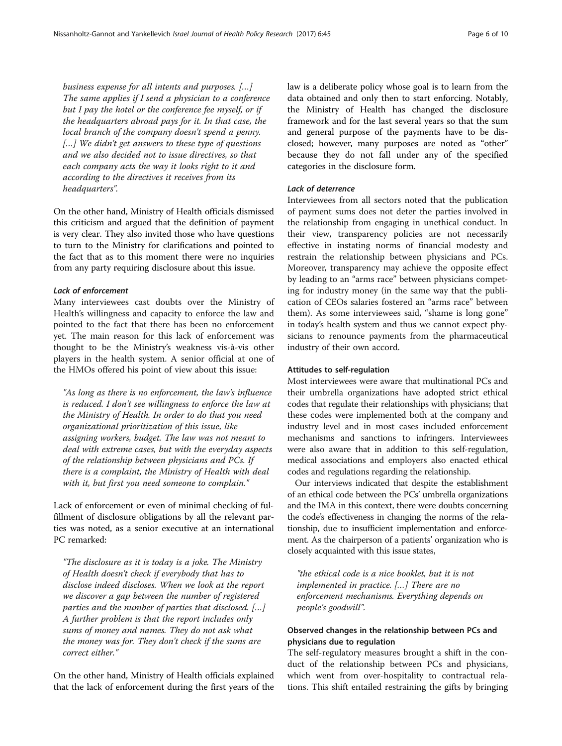business expense for all intents and purposes. […] The same applies if I send a physician to a conference but I pay the hotel or the conference fee myself, or if the headquarters abroad pays for it. In that case, the local branch of the company doesn't spend a penny. [...] We didn't get answers to these type of questions and we also decided not to issue directives, so that each company acts the way it looks right to it and according to the directives it receives from its headquarters".

On the other hand, Ministry of Health officials dismissed this criticism and argued that the definition of payment is very clear. They also invited those who have questions to turn to the Ministry for clarifications and pointed to the fact that as to this moment there were no inquiries from any party requiring disclosure about this issue.

### Lack of enforcement

Many interviewees cast doubts over the Ministry of Health's willingness and capacity to enforce the law and pointed to the fact that there has been no enforcement yet. The main reason for this lack of enforcement was thought to be the Ministry's weakness vis-à-vis other players in the health system. A senior official at one of the HMOs offered his point of view about this issue:

"As long as there is no enforcement, the law's influence is reduced. I don't see willingness to enforce the law at the Ministry of Health. In order to do that you need organizational prioritization of this issue, like assigning workers, budget. The law was not meant to deal with extreme cases, but with the everyday aspects of the relationship between physicians and PCs. If there is a complaint, the Ministry of Health with deal with it, but first you need someone to complain."

Lack of enforcement or even of minimal checking of fulfillment of disclosure obligations by all the relevant parties was noted, as a senior executive at an international PC remarked:

"The disclosure as it is today is a joke. The Ministry of Health doesn't check if everybody that has to disclose indeed discloses. When we look at the report we discover a gap between the number of registered parties and the number of parties that disclosed. […] A further problem is that the report includes only sums of money and names. They do not ask what the money was for. They don't check if the sums are correct either."

On the other hand, Ministry of Health officials explained that the lack of enforcement during the first years of the law is a deliberate policy whose goal is to learn from the data obtained and only then to start enforcing. Notably, the Ministry of Health has changed the disclosure framework and for the last several years so that the sum and general purpose of the payments have to be disclosed; however, many purposes are noted as "other" because they do not fall under any of the specified categories in the disclosure form.

# Lack of deterrence

Interviewees from all sectors noted that the publication of payment sums does not deter the parties involved in the relationship from engaging in unethical conduct. In their view, transparency policies are not necessarily effective in instating norms of financial modesty and restrain the relationship between physicians and PCs. Moreover, transparency may achieve the opposite effect by leading to an "arms race" between physicians competing for industry money (in the same way that the publication of CEOs salaries fostered an "arms race" between them). As some interviewees said, "shame is long gone" in today's health system and thus we cannot expect physicians to renounce payments from the pharmaceutical industry of their own accord.

### Attitudes to self-regulation

Most interviewees were aware that multinational PCs and their umbrella organizations have adopted strict ethical codes that regulate their relationships with physicians; that these codes were implemented both at the company and industry level and in most cases included enforcement mechanisms and sanctions to infringers. Interviewees were also aware that in addition to this self-regulation, medical associations and employers also enacted ethical codes and regulations regarding the relationship.

Our interviews indicated that despite the establishment of an ethical code between the PCs' umbrella organizations and the IMA in this context, there were doubts concerning the code's effectiveness in changing the norms of the relationship, due to insufficient implementation and enforcement. As the chairperson of a patients' organization who is closely acquainted with this issue states,

"the ethical code is a nice booklet, but it is not implemented in practice. […] There are no enforcement mechanisms. Everything depends on people's goodwill".

# Observed changes in the relationship between PCs and physicians due to regulation

The self-regulatory measures brought a shift in the conduct of the relationship between PCs and physicians, which went from over-hospitality to contractual relations. This shift entailed restraining the gifts by bringing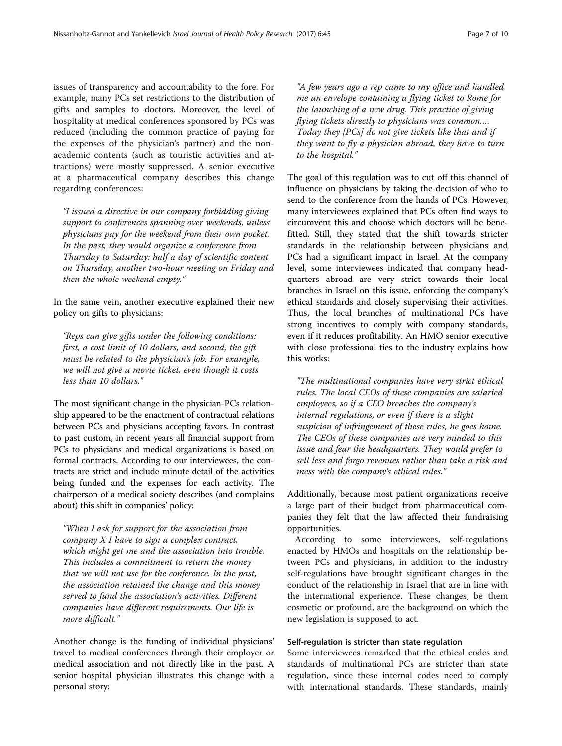issues of transparency and accountability to the fore. For example, many PCs set restrictions to the distribution of gifts and samples to doctors. Moreover, the level of hospitality at medical conferences sponsored by PCs was reduced (including the common practice of paying for the expenses of the physician's partner) and the nonacademic contents (such as touristic activities and attractions) were mostly suppressed. A senior executive at a pharmaceutical company describes this change regarding conferences:

"I issued a directive in our company forbidding giving support to conferences spanning over weekends, unless physicians pay for the weekend from their own pocket. In the past, they would organize a conference from Thursday to Saturday: half a day of scientific content on Thursday, another two-hour meeting on Friday and then the whole weekend empty."

In the same vein, another executive explained their new policy on gifts to physicians:

"Reps can give gifts under the following conditions: first, a cost limit of 10 dollars, and second, the gift must be related to the physician's job. For example, we will not give a movie ticket, even though it costs less than 10 dollars."

The most significant change in the physician-PCs relationship appeared to be the enactment of contractual relations between PCs and physicians accepting favors. In contrast to past custom, in recent years all financial support from PCs to physicians and medical organizations is based on formal contracts. According to our interviewees, the contracts are strict and include minute detail of the activities being funded and the expenses for each activity. The chairperson of a medical society describes (and complains about) this shift in companies' policy:

"When I ask for support for the association from company X I have to sign a complex contract, which might get me and the association into trouble. This includes a commitment to return the money that we will not use for the conference. In the past, the association retained the change and this money served to fund the association's activities. Different companies have different requirements. Our life is more difficult."

Another change is the funding of individual physicians' travel to medical conferences through their employer or medical association and not directly like in the past. A senior hospital physician illustrates this change with a personal story:

"A few years ago a rep came to my office and handled me an envelope containing a flying ticket to Rome for the launching of a new drug. This practice of giving flying tickets directly to physicians was common…. Today they [PCs] do not give tickets like that and if they want to fly a physician abroad, they have to turn to the hospital."

The goal of this regulation was to cut off this channel of influence on physicians by taking the decision of who to send to the conference from the hands of PCs. However, many interviewees explained that PCs often find ways to circumvent this and choose which doctors will be benefitted. Still, they stated that the shift towards stricter standards in the relationship between physicians and PCs had a significant impact in Israel. At the company level, some interviewees indicated that company headquarters abroad are very strict towards their local branches in Israel on this issue, enforcing the company's ethical standards and closely supervising their activities. Thus, the local branches of multinational PCs have strong incentives to comply with company standards, even if it reduces profitability. An HMO senior executive with close professional ties to the industry explains how this works:

"The multinational companies have very strict ethical rules. The local CEOs of these companies are salaried employees, so if a CEO breaches the company's internal regulations, or even if there is a slight suspicion of infringement of these rules, he goes home. The CEOs of these companies are very minded to this issue and fear the headquarters. They would prefer to sell less and forgo revenues rather than take a risk and mess with the company's ethical rules."

Additionally, because most patient organizations receive a large part of their budget from pharmaceutical companies they felt that the law affected their fundraising opportunities.

According to some interviewees, self-regulations enacted by HMOs and hospitals on the relationship between PCs and physicians, in addition to the industry self-regulations have brought significant changes in the conduct of the relationship in Israel that are in line with the international experience. These changes, be them cosmetic or profound, are the background on which the new legislation is supposed to act.

# Self-regulation is stricter than state regulation

Some interviewees remarked that the ethical codes and standards of multinational PCs are stricter than state regulation, since these internal codes need to comply with international standards. These standards, mainly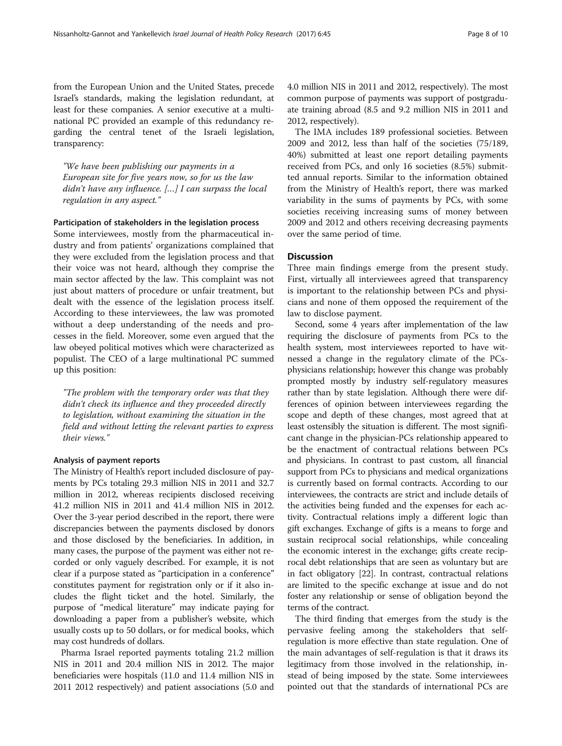from the European Union and the United States, precede Israel's standards, making the legislation redundant, at least for these companies. A senior executive at a multinational PC provided an example of this redundancy regarding the central tenet of the Israeli legislation, transparency:

"We have been publishing our payments in a European site for five years now, so for us the law didn't have any influence. […] I can surpass the local regulation in any aspect."

#### Participation of stakeholders in the legislation process

Some interviewees, mostly from the pharmaceutical industry and from patients' organizations complained that they were excluded from the legislation process and that their voice was not heard, although they comprise the main sector affected by the law. This complaint was not just about matters of procedure or unfair treatment, but dealt with the essence of the legislation process itself. According to these interviewees, the law was promoted without a deep understanding of the needs and processes in the field. Moreover, some even argued that the law obeyed political motives which were characterized as populist. The CEO of a large multinational PC summed up this position:

"The problem with the temporary order was that they didn't check its influence and they proceeded directly to legislation, without examining the situation in the field and without letting the relevant parties to express their views."

### Analysis of payment reports

The Ministry of Health's report included disclosure of payments by PCs totaling 29.3 million NIS in 2011 and 32.7 million in 2012, whereas recipients disclosed receiving 41.2 million NIS in 2011 and 41.4 million NIS in 2012. Over the 3-year period described in the report, there were discrepancies between the payments disclosed by donors and those disclosed by the beneficiaries. In addition, in many cases, the purpose of the payment was either not recorded or only vaguely described. For example, it is not clear if a purpose stated as "participation in a conference" constitutes payment for registration only or if it also includes the flight ticket and the hotel. Similarly, the purpose of "medical literature" may indicate paying for downloading a paper from a publisher's website, which usually costs up to 50 dollars, or for medical books, which may cost hundreds of dollars.

Pharma Israel reported payments totaling 21.2 million NIS in 2011 and 20.4 million NIS in 2012. The major beneficiaries were hospitals (11.0 and 11.4 million NIS in 2011 2012 respectively) and patient associations (5.0 and 4.0 million NIS in 2011 and 2012, respectively). The most common purpose of payments was support of postgraduate training abroad (8.5 and 9.2 million NIS in 2011 and 2012, respectively).

The IMA includes 189 professional societies. Between 2009 and 2012, less than half of the societies (75/189, 40%) submitted at least one report detailing payments received from PCs, and only 16 societies (8.5%) submitted annual reports. Similar to the information obtained from the Ministry of Health's report, there was marked variability in the sums of payments by PCs, with some societies receiving increasing sums of money between 2009 and 2012 and others receiving decreasing payments over the same period of time.

# **Discussion**

Three main findings emerge from the present study. First, virtually all interviewees agreed that transparency is important to the relationship between PCs and physicians and none of them opposed the requirement of the law to disclose payment.

Second, some 4 years after implementation of the law requiring the disclosure of payments from PCs to the health system, most interviewees reported to have witnessed a change in the regulatory climate of the PCsphysicians relationship; however this change was probably prompted mostly by industry self-regulatory measures rather than by state legislation. Although there were differences of opinion between interviewees regarding the scope and depth of these changes, most agreed that at least ostensibly the situation is different. The most significant change in the physician-PCs relationship appeared to be the enactment of contractual relations between PCs and physicians. In contrast to past custom, all financial support from PCs to physicians and medical organizations is currently based on formal contracts. According to our interviewees, the contracts are strict and include details of the activities being funded and the expenses for each activity. Contractual relations imply a different logic than gift exchanges. Exchange of gifts is a means to forge and sustain reciprocal social relationships, while concealing the economic interest in the exchange; gifts create reciprocal debt relationships that are seen as voluntary but are in fact obligatory [\[22\]](#page-9-0). In contrast, contractual relations are limited to the specific exchange at issue and do not foster any relationship or sense of obligation beyond the terms of the contract.

The third finding that emerges from the study is the pervasive feeling among the stakeholders that selfregulation is more effective than state regulation. One of the main advantages of self-regulation is that it draws its legitimacy from those involved in the relationship, instead of being imposed by the state. Some interviewees pointed out that the standards of international PCs are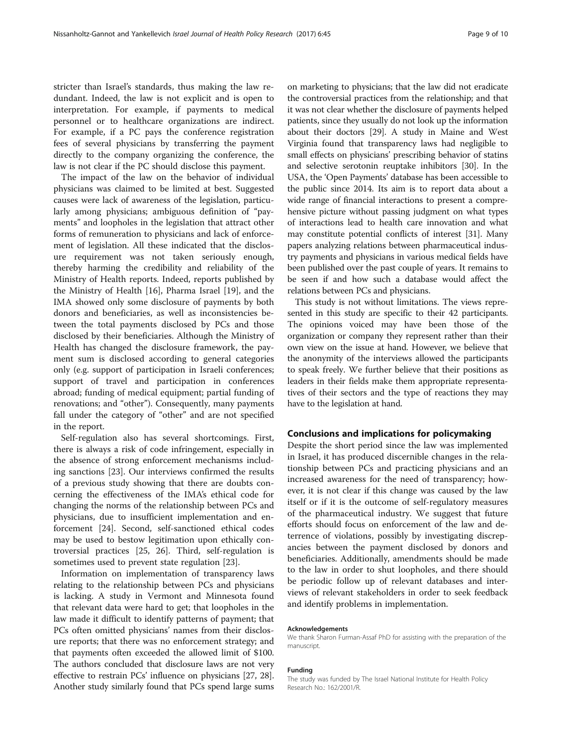stricter than Israel's standards, thus making the law redundant. Indeed, the law is not explicit and is open to interpretation. For example, if payments to medical personnel or to healthcare organizations are indirect. For example, if a PC pays the conference registration fees of several physicians by transferring the payment directly to the company organizing the conference, the law is not clear if the PC should disclose this payment.

The impact of the law on the behavior of individual physicians was claimed to be limited at best. Suggested causes were lack of awareness of the legislation, particularly among physicians; ambiguous definition of "payments" and loopholes in the legislation that attract other forms of remuneration to physicians and lack of enforcement of legislation. All these indicated that the disclosure requirement was not taken seriously enough, thereby harming the credibility and reliability of the Ministry of Health reports. Indeed, reports published by the Ministry of Health [\[16](#page-9-0)], Pharma Israel [\[19](#page-9-0)], and the IMA showed only some disclosure of payments by both donors and beneficiaries, as well as inconsistencies between the total payments disclosed by PCs and those disclosed by their beneficiaries. Although the Ministry of Health has changed the disclosure framework, the payment sum is disclosed according to general categories only (e.g. support of participation in Israeli conferences; support of travel and participation in conferences abroad; funding of medical equipment; partial funding of renovations; and "other"). Consequently, many payments fall under the category of "other" and are not specified in the report.

Self-regulation also has several shortcomings. First, there is always a risk of code infringement, especially in the absence of strong enforcement mechanisms including sanctions [[23\]](#page-9-0). Our interviews confirmed the results of a previous study showing that there are doubts concerning the effectiveness of the IMA's ethical code for changing the norms of the relationship between PCs and physicians, due to insufficient implementation and enforcement [[24\]](#page-9-0). Second, self-sanctioned ethical codes may be used to bestow legitimation upon ethically controversial practices [[25, 26](#page-9-0)]. Third, self-regulation is sometimes used to prevent state regulation [\[23](#page-9-0)].

Information on implementation of transparency laws relating to the relationship between PCs and physicians is lacking. A study in Vermont and Minnesota found that relevant data were hard to get; that loopholes in the law made it difficult to identify patterns of payment; that PCs often omitted physicians' names from their disclosure reports; that there was no enforcement strategy; and that payments often exceeded the allowed limit of \$100. The authors concluded that disclosure laws are not very effective to restrain PCs' influence on physicians [[27](#page-9-0), [28](#page-9-0)]. Another study similarly found that PCs spend large sums

on marketing to physicians; that the law did not eradicate the controversial practices from the relationship; and that it was not clear whether the disclosure of payments helped patients, since they usually do not look up the information about their doctors [[29](#page-9-0)]. A study in Maine and West Virginia found that transparency laws had negligible to small effects on physicians' prescribing behavior of statins and selective serotonin reuptake inhibitors [\[30](#page-9-0)]. In the USA, the 'Open Payments' database has been accessible to the public since 2014. Its aim is to report data about a wide range of financial interactions to present a comprehensive picture without passing judgment on what types of interactions lead to health care innovation and what may constitute potential conflicts of interest [\[31\]](#page-9-0). Many papers analyzing relations between pharmaceutical industry payments and physicians in various medical fields have been published over the past couple of years. It remains to be seen if and how such a database would affect the relations between PCs and physicians.

This study is not without limitations. The views represented in this study are specific to their 42 participants. The opinions voiced may have been those of the organization or company they represent rather than their own view on the issue at hand. However, we believe that the anonymity of the interviews allowed the participants to speak freely. We further believe that their positions as leaders in their fields make them appropriate representatives of their sectors and the type of reactions they may have to the legislation at hand.

### Conclusions and implications for policymaking

Despite the short period since the law was implemented in Israel, it has produced discernible changes in the relationship between PCs and practicing physicians and an increased awareness for the need of transparency; however, it is not clear if this change was caused by the law itself or if it is the outcome of self-regulatory measures of the pharmaceutical industry. We suggest that future efforts should focus on enforcement of the law and deterrence of violations, possibly by investigating discrepancies between the payment disclosed by donors and beneficiaries. Additionally, amendments should be made to the law in order to shut loopholes, and there should be periodic follow up of relevant databases and interviews of relevant stakeholders in order to seek feedback and identify problems in implementation.

#### Acknowledgements

We thank Sharon Furman-Assaf PhD for assisting with the preparation of the manuscript.

#### Funding

The study was funded by The Israel National Institute for Health Policy Research No.: 162/2001/R.